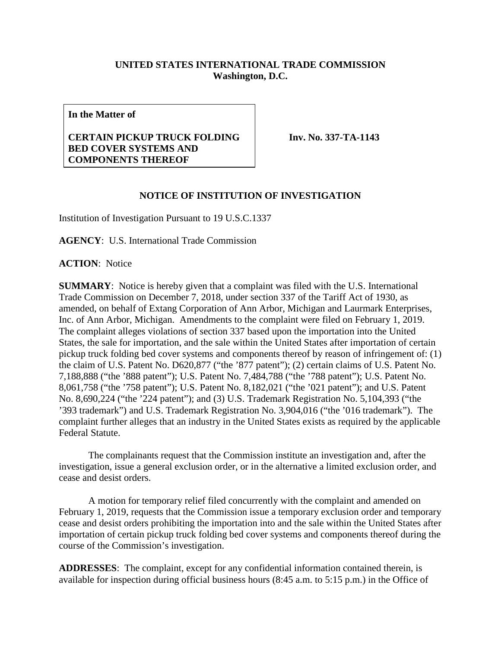## **UNITED STATES INTERNATIONAL TRADE COMMISSION Washington, D.C.**

**In the Matter of**

## **CERTAIN PICKUP TRUCK FOLDING BED COVER SYSTEMS AND COMPONENTS THEREOF**

**Inv. No. 337-TA-1143**

## **NOTICE OF INSTITUTION OF INVESTIGATION**

Institution of Investigation Pursuant to 19 U.S.C.1337

**AGENCY**: U.S. International Trade Commission

**ACTION**: Notice

**SUMMARY**: Notice is hereby given that a complaint was filed with the U.S. International Trade Commission on December 7, 2018, under section 337 of the Tariff Act of 1930, as amended, on behalf of Extang Corporation of Ann Arbor, Michigan and Laurmark Enterprises, Inc. of Ann Arbor, Michigan. Amendments to the complaint were filed on February 1, 2019. The complaint alleges violations of section 337 based upon the importation into the United States, the sale for importation, and the sale within the United States after importation of certain pickup truck folding bed cover systems and components thereof by reason of infringement of: (1) the claim of U.S. Patent No. D620,877 ("the '877 patent"); (2) certain claims of U.S. Patent No. 7,188,888 ("the '888 patent"); U.S. Patent No. 7,484,788 ("the '788 patent"); U.S. Patent No. 8,061,758 ("the '758 patent"); U.S. Patent No. 8,182,021 ("the '021 patent"); and U.S. Patent No. 8,690,224 ("the '224 patent"); and (3) U.S. Trademark Registration No. 5,104,393 ("the '393 trademark") and U.S. Trademark Registration No. 3,904,016 ("the '016 trademark"). The complaint further alleges that an industry in the United States exists as required by the applicable Federal Statute.

The complainants request that the Commission institute an investigation and, after the investigation, issue a general exclusion order, or in the alternative a limited exclusion order, and cease and desist orders.

A motion for temporary relief filed concurrently with the complaint and amended on February 1, 2019, requests that the Commission issue a temporary exclusion order and temporary cease and desist orders prohibiting the importation into and the sale within the United States after importation of certain pickup truck folding bed cover systems and components thereof during the course of the Commission's investigation.

**ADDRESSES**: The complaint, except for any confidential information contained therein, is available for inspection during official business hours (8:45 a.m. to 5:15 p.m.) in the Office of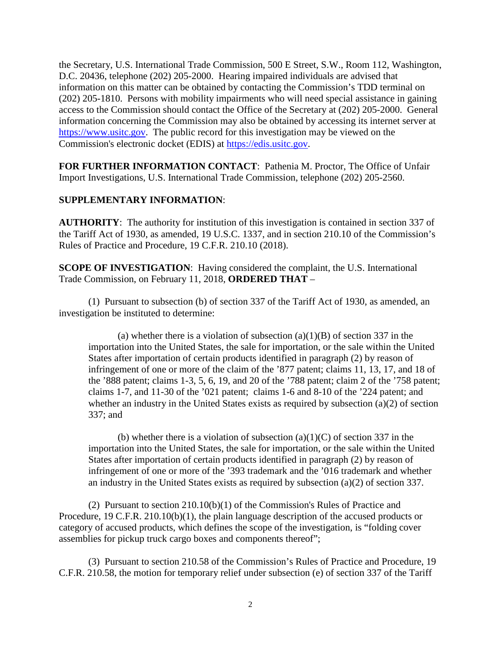the Secretary, U.S. International Trade Commission, 500 E Street, S.W., Room 112, Washington, D.C. 20436, telephone (202) 205-2000. Hearing impaired individuals are advised that information on this matter can be obtained by contacting the Commission's TDD terminal on (202) 205-1810. Persons with mobility impairments who will need special assistance in gaining access to the Commission should contact the Office of the Secretary at (202) 205-2000. General information concerning the Commission may also be obtained by accessing its internet server at [https://www.usitc.gov.](https://www.usitc.gov/) The public record for this investigation may be viewed on the Commission's electronic docket (EDIS) at [https://edis.usitc.gov.](https://edis.usitc.gov/)

**FOR FURTHER INFORMATION CONTACT**: Pathenia M. Proctor, The Office of Unfair Import Investigations, U.S. International Trade Commission, telephone (202) 205-2560.

## **SUPPLEMENTARY INFORMATION**:

**AUTHORITY**: The authority for institution of this investigation is contained in section 337 of the Tariff Act of 1930, as amended, 19 U.S.C. 1337, and in section 210.10 of the Commission's Rules of Practice and Procedure, 19 C.F.R. 210.10 (2018).

**SCOPE OF INVESTIGATION:** Having considered the complaint, the U.S. International Trade Commission, on February 11, 2018, **ORDERED THAT** –

(1) Pursuant to subsection (b) of section 337 of the Tariff Act of 1930, as amended, an investigation be instituted to determine:

(a) whether there is a violation of subsection  $(a)(1)(B)$  of section 337 in the importation into the United States, the sale for importation, or the sale within the United States after importation of certain products identified in paragraph (2) by reason of infringement of one or more of the claim of the '877 patent; claims 11, 13, 17, and 18 of the '888 patent; claims 1-3, 5, 6, 19, and 20 of the '788 patent; claim 2 of the '758 patent; claims 1-7, and 11-30 of the '021 patent; claims 1-6 and 8-10 of the '224 patent; and whether an industry in the United States exists as required by subsection (a)(2) of section 337; and

(b) whether there is a violation of subsection  $(a)(1)(C)$  of section 337 in the importation into the United States, the sale for importation, or the sale within the United States after importation of certain products identified in paragraph (2) by reason of infringement of one or more of the '393 trademark and the '016 trademark and whether an industry in the United States exists as required by subsection (a)(2) of section 337.

(2) Pursuant to section 210.10(b)(1) of the Commission's Rules of Practice and Procedure, 19 C.F.R. 210.10(b)(1), the plain language description of the accused products or category of accused products, which defines the scope of the investigation, is "folding cover assemblies for pickup truck cargo boxes and components thereof";

(3) Pursuant to section 210.58 of the Commission's Rules of Practice and Procedure, 19 C.F.R. 210.58, the motion for temporary relief under subsection (e) of section 337 of the Tariff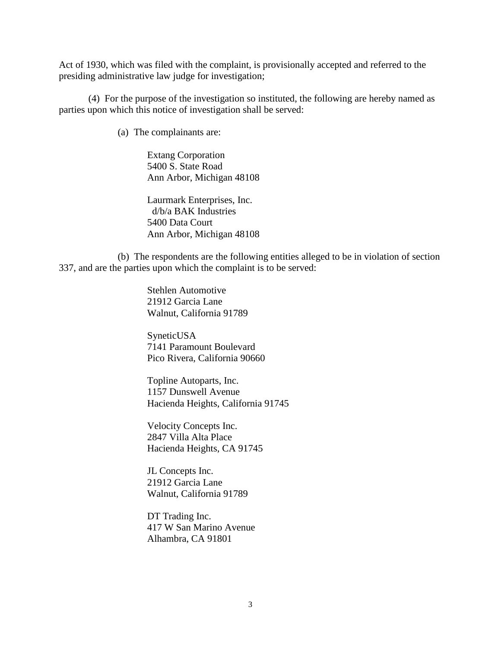Act of 1930, which was filed with the complaint, is provisionally accepted and referred to the presiding administrative law judge for investigation;

(4) For the purpose of the investigation so instituted, the following are hereby named as parties upon which this notice of investigation shall be served:

(a) The complainants are:

Extang Corporation 5400 S. State Road Ann Arbor, Michigan 48108

Laurmark Enterprises, Inc. d/b/a BAK Industries 5400 Data Court Ann Arbor, Michigan 48108

(b) The respondents are the following entities alleged to be in violation of section 337, and are the parties upon which the complaint is to be served:

> Stehlen Automotive 21912 Garcia Lane Walnut, California 91789

SyneticUSA 7141 Paramount Boulevard Pico Rivera, California 90660

Topline Autoparts, Inc. 1157 Dunswell Avenue Hacienda Heights, California 91745

Velocity Concepts Inc. 2847 Villa Alta Place Hacienda Heights, CA 91745

JL Concepts Inc. 21912 Garcia Lane Walnut, California 91789

DT Trading Inc. 417 W San Marino Avenue Alhambra, CA 91801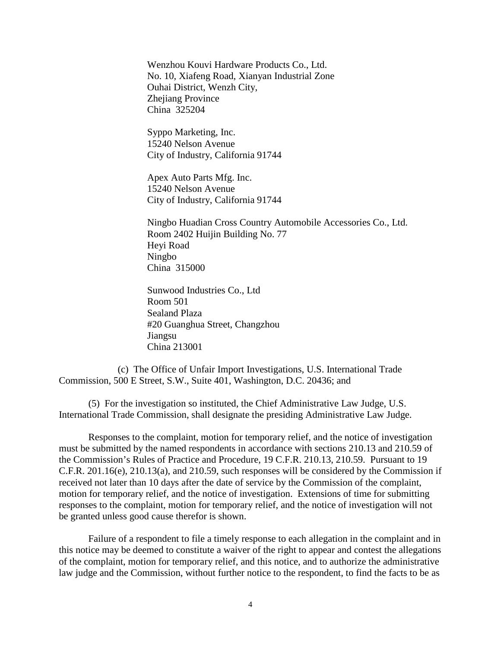Wenzhou Kouvi Hardware Products Co., Ltd. No. 10, Xiafeng Road, Xianyan Industrial Zone Ouhai District, Wenzh City, Zhejiang Province China 325204

Syppo Marketing, Inc. 15240 Nelson Avenue City of Industry, California 91744

Apex Auto Parts Mfg. Inc. 15240 Nelson Avenue City of Industry, California 91744

Ningbo Huadian Cross Country Automobile Accessories Co., Ltd. Room 2402 Huijin Building No. 77 Heyi Road Ningbo China 315000

Sunwood Industries Co., Ltd Room 501 Sealand Plaza #20 Guanghua Street, Changzhou Jiangsu China 213001

(c) The Office of Unfair Import Investigations, U.S. International Trade Commission, 500 E Street, S.W., Suite 401, Washington, D.C. 20436; and

(5) For the investigation so instituted, the Chief Administrative Law Judge, U.S. International Trade Commission, shall designate the presiding Administrative Law Judge.

Responses to the complaint, motion for temporary relief, and the notice of investigation must be submitted by the named respondents in accordance with sections 210.13 and 210.59 of the Commission's Rules of Practice and Procedure, 19 C.F.R. 210.13, 210.59. Pursuant to 19 C.F.R. 201.16(e), 210.13(a), and 210.59, such responses will be considered by the Commission if received not later than 10 days after the date of service by the Commission of the complaint, motion for temporary relief, and the notice of investigation. Extensions of time for submitting responses to the complaint, motion for temporary relief, and the notice of investigation will not be granted unless good cause therefor is shown.

Failure of a respondent to file a timely response to each allegation in the complaint and in this notice may be deemed to constitute a waiver of the right to appear and contest the allegations of the complaint, motion for temporary relief, and this notice, and to authorize the administrative law judge and the Commission, without further notice to the respondent, to find the facts to be as